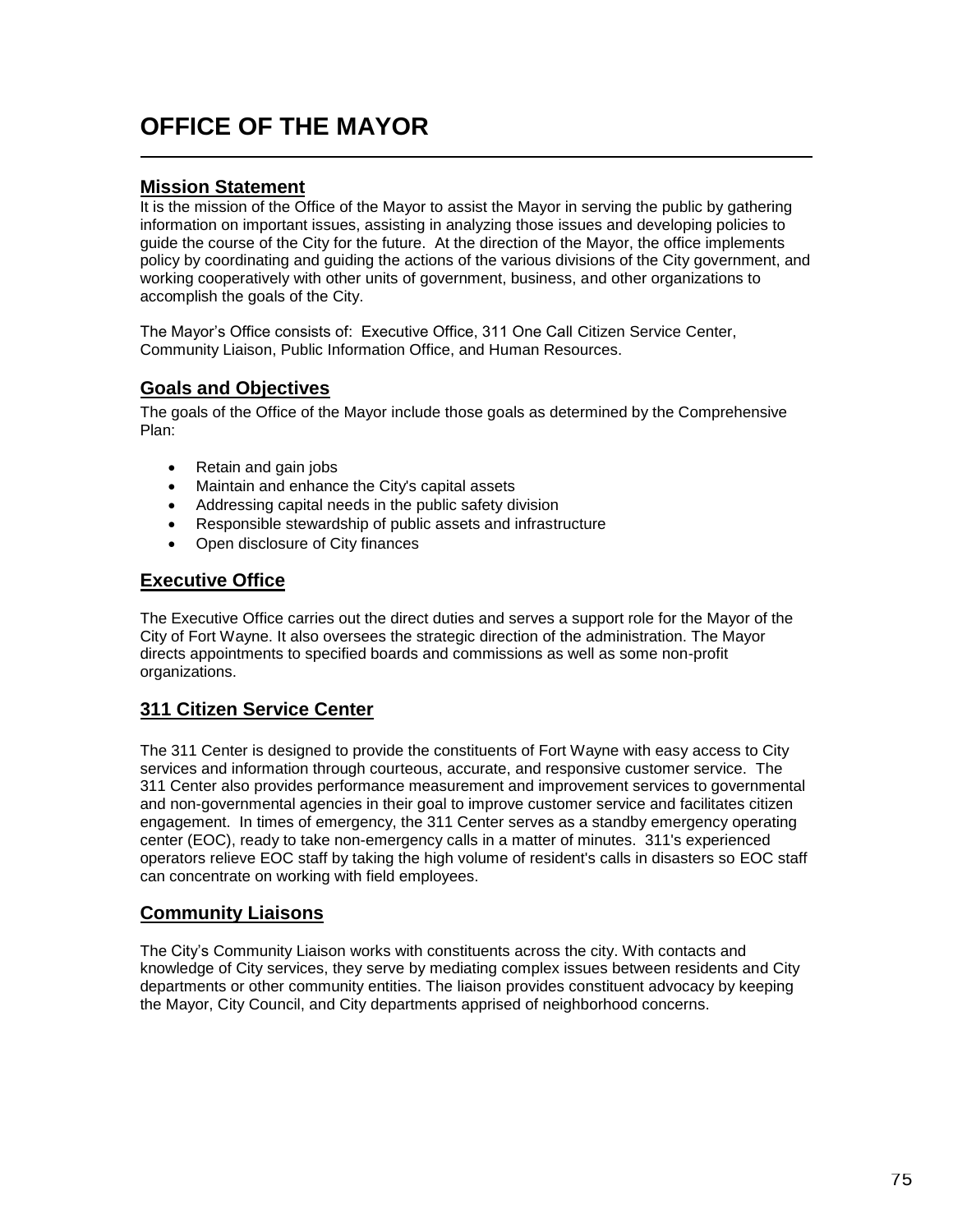# **OFFICE OF THE MAYOR**

#### **Mission Statement**

It is the mission of the Office of the Mayor to assist the Mayor in serving the public by gathering information on important issues, assisting in analyzing those issues and developing policies to guide the course of the City for the future. At the direction of the Mayor, the office implements policy by coordinating and guiding the actions of the various divisions of the City government, and working cooperatively with other units of government, business, and other organizations to accomplish the goals of the City.

The Mayor's Office consists of: Executive Office, 311 One Call Citizen Service Center, Community Liaison, Public Information Office, and Human Resources.

#### **Goals and Objectives**

The goals of the Office of the Mayor include those goals as determined by the Comprehensive Plan:

- Retain and gain jobs
- Maintain and enhance the City's capital assets
- Addressing capital needs in the public safety division
- Responsible stewardship of public assets and infrastructure
- Open disclosure of City finances

#### **Executive Office**

The Executive Office carries out the direct duties and serves a support role for the Mayor of the City of Fort Wayne. It also oversees the strategic direction of the administration. The Mayor directs appointments to specified boards and commissions as well as some non-profit organizations.

#### **311 Citizen Service Center**

The 311 Center is designed to provide the constituents of Fort Wayne with easy access to City services and information through courteous, accurate, and responsive customer service. The 311 Center also provides performance measurement and improvement services to governmental and non-governmental agencies in their goal to improve customer service and facilitates citizen engagement. In times of emergency, the 311 Center serves as a standby emergency operating center (EOC), ready to take non-emergency calls in a matter of minutes. 311's experienced operators relieve EOC staff by taking the high volume of resident's calls in disasters so EOC staff can concentrate on working with field employees.

#### **Community Liaisons**

The City's Community Liaison works with constituents across the city. With contacts and knowledge of City services, they serve by mediating complex issues between residents and City departments or other community entities. The liaison provides constituent advocacy by keeping the Mayor, City Council, and City departments apprised of neighborhood concerns.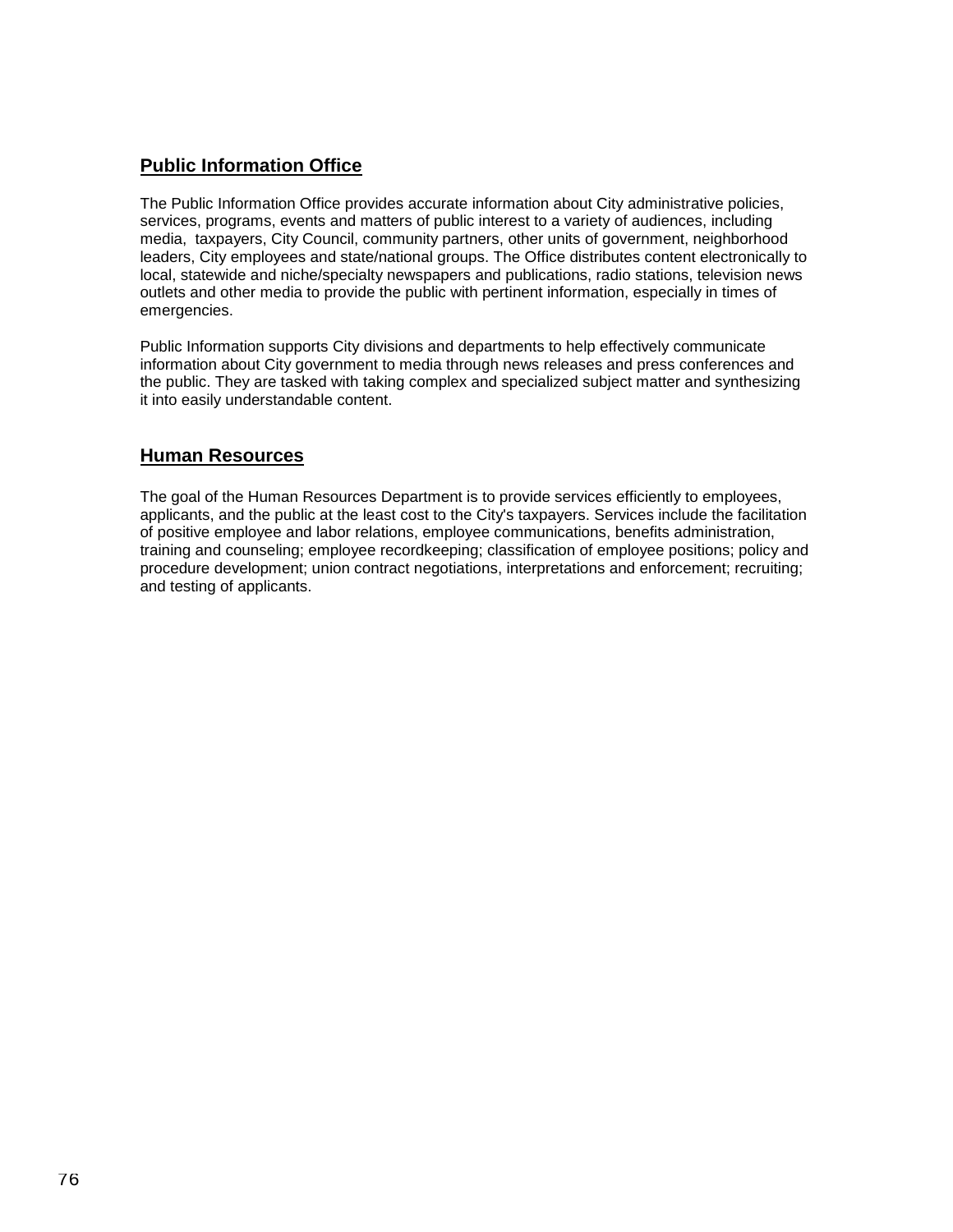### **Public Information Office**

The Public Information Office provides accurate information about City administrative policies, services, programs, events and matters of public interest to a variety of audiences, including media, taxpayers, City Council, community partners, other units of government, neighborhood leaders, City employees and state/national groups. The Office distributes content electronically to local, statewide and niche/specialty newspapers and publications, radio stations, television news outlets and other media to provide the public with pertinent information, especially in times of emergencies.

Public Information supports City divisions and departments to help effectively communicate information about City government to media through news releases and press conferences and the public. They are tasked with taking complex and specialized subject matter and synthesizing it into easily understandable content.

#### **Human Resources**

The goal of the Human Resources Department is to provide services efficiently to employees, applicants, and the public at the least cost to the City's taxpayers. Services include the facilitation of positive employee and labor relations, employee communications, benefits administration, training and counseling; employee recordkeeping; classification of employee positions; policy and procedure development; union contract negotiations, interpretations and enforcement; recruiting; and testing of applicants.